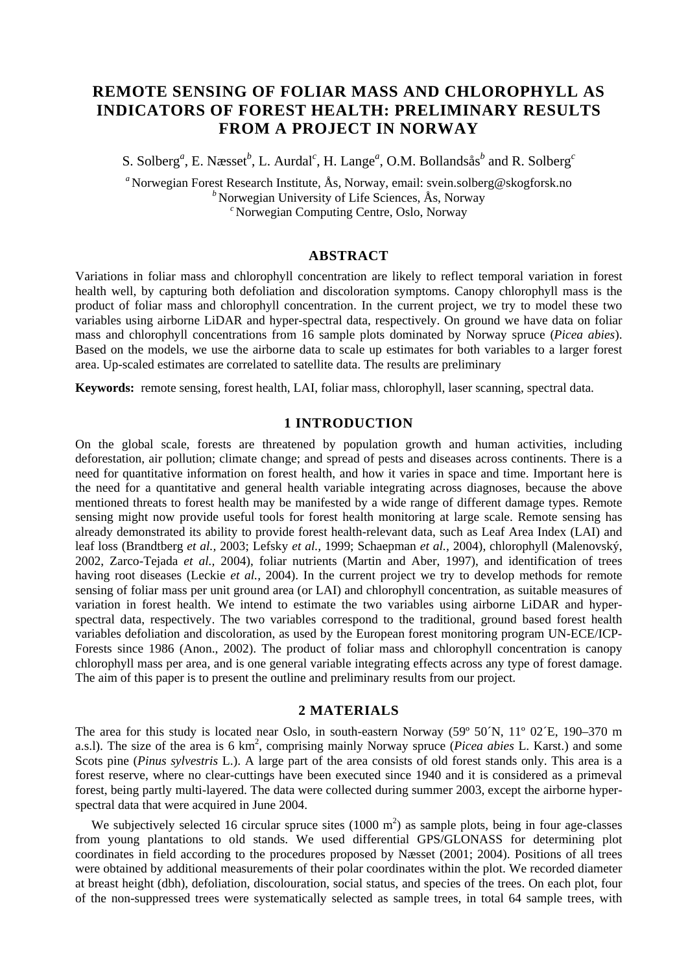# **REMOTE SENSING OF FOLIAR MASS AND CHLOROPHYLL AS INDICATORS OF FOREST HEALTH: PRELIMINARY RESULTS FROM A PROJECT IN NORWAY**

S. Solberg<sup>*a*</sup>, E. Næsset<sup>*b*</sup>, L. Aurdal<sup>*c*</sup>, H. Lange<sup>*a*</sup>, O.M. Bollandsås<sup>*b*</sup> and R. Solberg<sup>*c*</sup>

*<sup>a</sup>* Norwegian Forest Research Institute, Ås, Norway, email: svein.solberg@skogforsk.no *<sup>b</sup>* Norwegian University of Life Sciences, Ås, Norway *<sup>c</sup>* Norwegian Computing Centre, Oslo, Norway

#### **ABSTRACT**

Variations in foliar mass and chlorophyll concentration are likely to reflect temporal variation in forest health well, by capturing both defoliation and discoloration symptoms. Canopy chlorophyll mass is the product of foliar mass and chlorophyll concentration. In the current project, we try to model these two variables using airborne LiDAR and hyper-spectral data, respectively. On ground we have data on foliar mass and chlorophyll concentrations from 16 sample plots dominated by Norway spruce (*Picea abies*). Based on the models, we use the airborne data to scale up estimates for both variables to a larger forest area. Up-scaled estimates are correlated to satellite data. The results are preliminary

**Keywords:** remote sensing, forest health, LAI, foliar mass, chlorophyll, laser scanning, spectral data.

## **1 INTRODUCTION**

On the global scale, forests are threatened by population growth and human activities, including deforestation, air pollution; climate change; and spread of pests and diseases across continents. There is a need for quantitative information on forest health, and how it varies in space and time. Important here is the need for a quantitative and general health variable integrating across diagnoses, because the above mentioned threats to forest health may be manifested by a wide range of different damage types. Remote sensing might now provide useful tools for forest health monitoring at large scale. Remote sensing has already demonstrated its ability to provide forest health-relevant data, such as Leaf Area Index (LAI) and leaf loss (Brandtberg *et al.,* 2003; Lefsky *et al.,* 1999; Schaepman *et al.,* 2004), chlorophyll (Malenovský, 2002, Zarco-Tejada *et al.,* 2004), foliar nutrients (Martin and Aber, 1997), and identification of trees having root diseases (Leckie *et al.,* 2004). In the current project we try to develop methods for remote sensing of foliar mass per unit ground area (or LAI) and chlorophyll concentration, as suitable measures of variation in forest health. We intend to estimate the two variables using airborne LiDAR and hyperspectral data, respectively. The two variables correspond to the traditional, ground based forest health variables defoliation and discoloration, as used by the European forest monitoring program UN-ECE/ICP-Forests since 1986 (Anon., 2002). The product of foliar mass and chlorophyll concentration is canopy chlorophyll mass per area, and is one general variable integrating effects across any type of forest damage. The aim of this paper is to present the outline and preliminary results from our project.

#### **2 MATERIALS**

The area for this study is located near Oslo, in south-eastern Norway (59º 50´N, 11º 02´E, 190–370 m a.s.l). The size of the area is 6 km<sup>2</sup>, comprising mainly Norway spruce (*Picea abies* L. Karst.) and some Scots pine (*Pinus sylvestris* L.). A large part of the area consists of old forest stands only. This area is a forest reserve, where no clear-cuttings have been executed since 1940 and it is considered as a primeval forest, being partly multi-layered. The data were collected during summer 2003, except the airborne hyperspectral data that were acquired in June 2004.

We subjectively selected 16 circular spruce sites  $(1000 \text{ m}^2)$  as sample plots, being in four age-classes from young plantations to old stands. We used differential GPS/GLONASS for determining plot coordinates in field according to the procedures proposed by Næsset (2001; 2004). Positions of all trees were obtained by additional measurements of their polar coordinates within the plot. We recorded diameter at breast height (dbh), defoliation, discolouration, social status, and species of the trees. On each plot, four of the non-suppressed trees were systematically selected as sample trees, in total 64 sample trees, with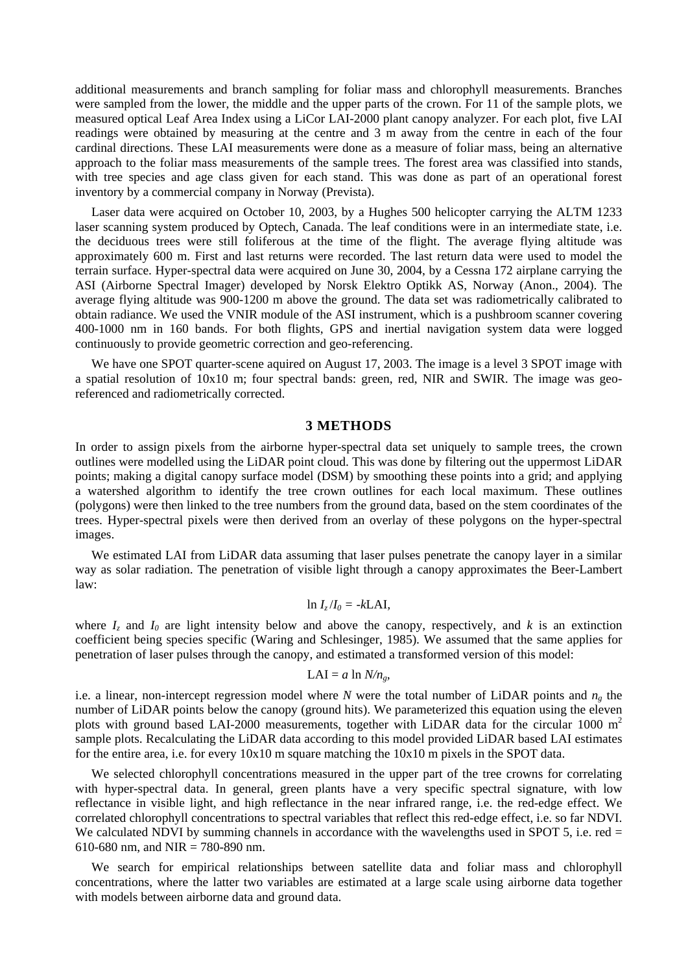additional measurements and branch sampling for foliar mass and chlorophyll measurements. Branches were sampled from the lower, the middle and the upper parts of the crown. For 11 of the sample plots, we measured optical Leaf Area Index using a LiCor LAI-2000 plant canopy analyzer. For each plot, five LAI readings were obtained by measuring at the centre and 3 m away from the centre in each of the four cardinal directions. These LAI measurements were done as a measure of foliar mass, being an alternative approach to the foliar mass measurements of the sample trees. The forest area was classified into stands, with tree species and age class given for each stand. This was done as part of an operational forest inventory by a commercial company in Norway (Prevista).

Laser data were acquired on October 10, 2003, by a Hughes 500 helicopter carrying the ALTM 1233 laser scanning system produced by Optech, Canada. The leaf conditions were in an intermediate state, i.e. the deciduous trees were still foliferous at the time of the flight. The average flying altitude was approximately 600 m. First and last returns were recorded. The last return data were used to model the terrain surface. Hyper-spectral data were acquired on June 30, 2004, by a Cessna 172 airplane carrying the ASI (Airborne Spectral Imager) developed by Norsk Elektro Optikk AS, Norway (Anon., 2004). The average flying altitude was 900-1200 m above the ground. The data set was radiometrically calibrated to obtain radiance. We used the VNIR module of the ASI instrument, which is a pushbroom scanner covering 400-1000 nm in 160 bands. For both flights, GPS and inertial navigation system data were logged continuously to provide geometric correction and geo-referencing.

We have one SPOT quarter-scene aquired on August 17, 2003. The image is a level 3 SPOT image with a spatial resolution of  $10x10$  m; four spectral bands: green, red, NIR and SWIR. The image was georeferenced and radiometrically corrected.

## **3 METHODS**

In order to assign pixels from the airborne hyper-spectral data set uniquely to sample trees, the crown outlines were modelled using the LiDAR point cloud. This was done by filtering out the uppermost LiDAR points; making a digital canopy surface model (DSM) by smoothing these points into a grid; and applying a watershed algorithm to identify the tree crown outlines for each local maximum. These outlines (polygons) were then linked to the tree numbers from the ground data, based on the stem coordinates of the trees. Hyper-spectral pixels were then derived from an overlay of these polygons on the hyper-spectral images.

We estimated LAI from LiDAR data assuming that laser pulses penetrate the canopy layer in a similar way as solar radiation. The penetration of visible light through a canopy approximates the Beer-Lambert law:

## $\ln I_z/I_0 = -kLAI$

where  $I_z$  and  $I_0$  are light intensity below and above the canopy, respectively, and  $k$  is an extinction coefficient being species specific (Waring and Schlesinger, 1985). We assumed that the same applies for penetration of laser pulses through the canopy, and estimated a transformed version of this model:

#### $LAI = a \ln N/n<sub>e</sub>$

i.e. a linear, non-intercept regression model where *N* were the total number of LiDAR points and  $n<sub>g</sub>$  the number of LiDAR points below the canopy (ground hits). We parameterized this equation using the eleven plots with ground based LAI-2000 measurements, together with LiDAR data for the circular 1000  $m<sup>2</sup>$ sample plots. Recalculating the LiDAR data according to this model provided LiDAR based LAI estimates for the entire area, i.e. for every 10x10 m square matching the 10x10 m pixels in the SPOT data.

We selected chlorophyll concentrations measured in the upper part of the tree crowns for correlating with hyper-spectral data. In general, green plants have a very specific spectral signature, with low reflectance in visible light, and high reflectance in the near infrared range, i.e. the red-edge effect. We correlated chlorophyll concentrations to spectral variables that reflect this red-edge effect, i.e. so far NDVI. We calculated NDVI by summing channels in accordance with the wavelengths used in SPOT 5, i.e. red  $=$ 610-680 nm, and NIR = 780-890 nm.

We search for empirical relationships between satellite data and foliar mass and chlorophyll concentrations, where the latter two variables are estimated at a large scale using airborne data together with models between airborne data and ground data.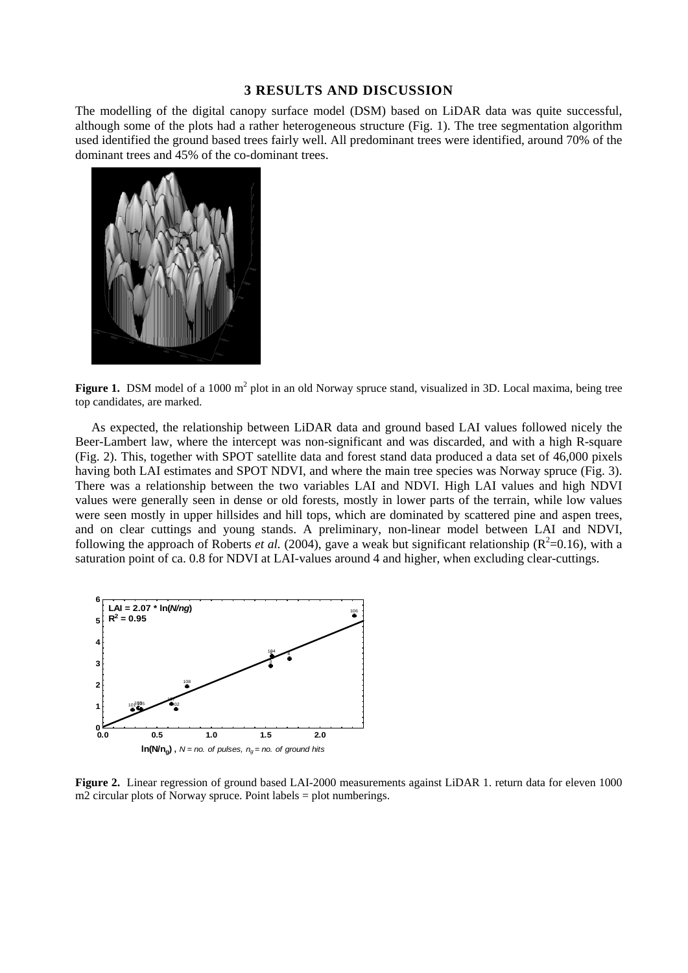## **3 RESULTS AND DISCUSSION**

The modelling of the digital canopy surface model (DSM) based on LiDAR data was quite successful, although some of the plots had a rather heterogeneous structure (Fig. 1). The tree segmentation algorithm used identified the ground based trees fairly well. All predominant trees were identified, around 70% of the dominant trees and 45% of the co-dominant trees.



Figure 1. DSM model of a 1000 m<sup>2</sup> plot in an old Norway spruce stand, visualized in 3D. Local maxima, being tree top candidates, are marked.

As expected, the relationship between LiDAR data and ground based LAI values followed nicely the Beer-Lambert law, where the intercept was non-significant and was discarded, and with a high R-square (Fig. 2). This, together with SPOT satellite data and forest stand data produced a data set of 46,000 pixels having both LAI estimates and SPOT NDVI, and where the main tree species was Norway spruce (Fig. 3). There was a relationship between the two variables LAI and NDVI. High LAI values and high NDVI values were generally seen in dense or old forests, mostly in lower parts of the terrain, while low values were seen mostly in upper hillsides and hill tops, which are dominated by scattered pine and aspen trees, and on clear cuttings and young stands. A preliminary, non-linear model between LAI and NDVI, following the approach of Roberts *et al.* (2004), gave a weak but significant relationship ( $R^2$ =0.16), with a saturation point of ca. 0.8 for NDVI at LAI-values around 4 and higher, when excluding clear-cuttings.



**Figure 2.** Linear regression of ground based LAI-2000 measurements against LiDAR 1. return data for eleven 1000 m2 circular plots of Norway spruce. Point labels = plot numberings.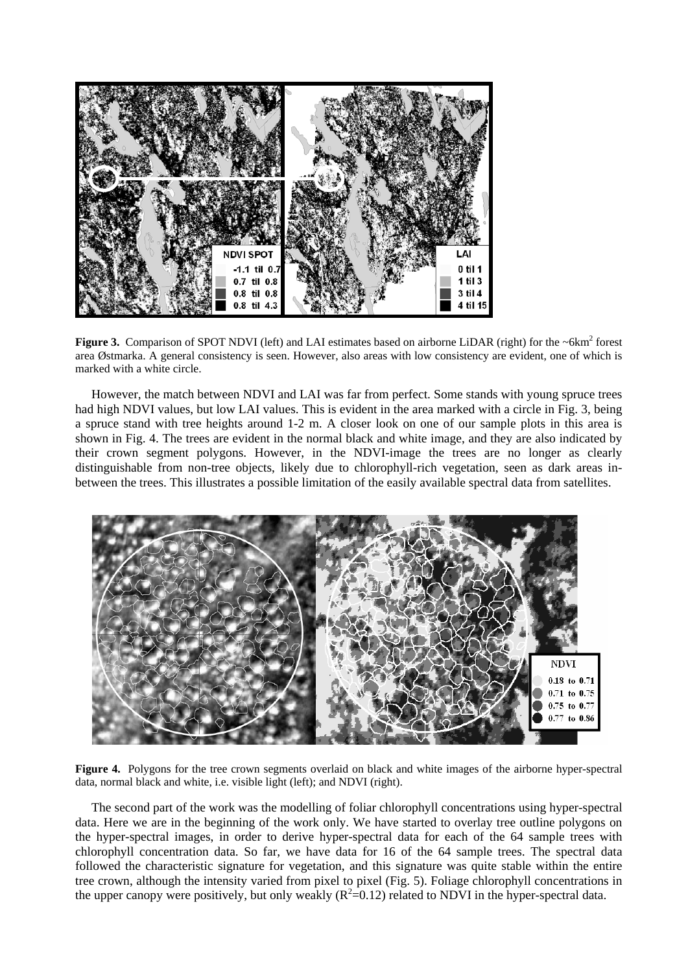

Figure 3. Comparison of SPOT NDVI (left) and LAI estimates based on airborne LiDAR (right) for the ~6km<sup>2</sup> forest area Østmarka. A general consistency is seen. However, also areas with low consistency are evident, one of which is marked with a white circle.

However, the match between NDVI and LAI was far from perfect. Some stands with young spruce trees had high NDVI values, but low LAI values. This is evident in the area marked with a circle in Fig. 3, being a spruce stand with tree heights around 1-2 m. A closer look on one of our sample plots in this area is shown in Fig. 4. The trees are evident in the normal black and white image, and they are also indicated by their crown segment polygons. However, in the NDVI-image the trees are no longer as clearly distinguishable from non-tree objects, likely due to chlorophyll-rich vegetation, seen as dark areas inbetween the trees. This illustrates a possible limitation of the easily available spectral data from satellites.



**Figure 4.** Polygons for the tree crown segments overlaid on black and white images of the airborne hyper-spectral data, normal black and white, i.e. visible light (left); and NDVI (right).

The second part of the work was the modelling of foliar chlorophyll concentrations using hyper-spectral data. Here we are in the beginning of the work only. We have started to overlay tree outline polygons on the hyper-spectral images, in order to derive hyper-spectral data for each of the 64 sample trees with chlorophyll concentration data. So far, we have data for 16 of the 64 sample trees. The spectral data followed the characteristic signature for vegetation, and this signature was quite stable within the entire tree crown, although the intensity varied from pixel to pixel (Fig. 5). Foliage chlorophyll concentrations in the upper canopy were positively, but only weakly  $(R^2=0.12)$  related to NDVI in the hyper-spectral data.